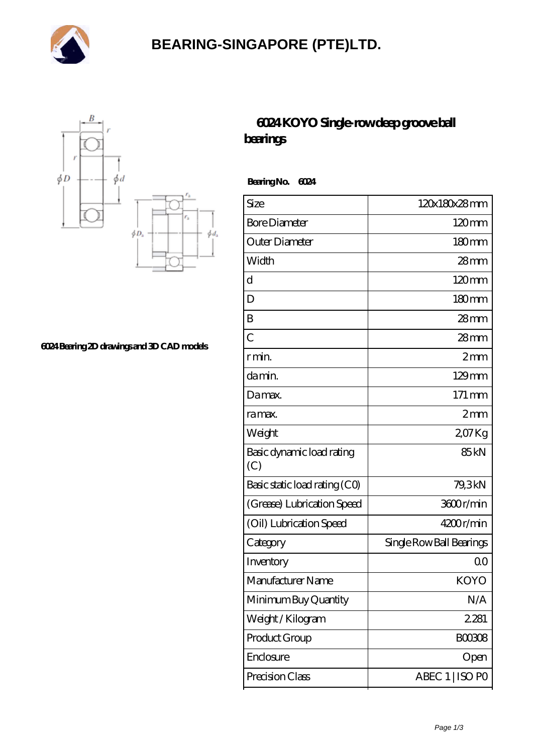

## **[BEARING-SINGAPORE \(PTE\)LTD.](https://m.ryiuy.com)**



**[6024 Bearing 2D drawings and 3D CAD models](https://m.ryiuy.com/pic-727663.html)**

## **[6024 KOYO Single-row deep groove ball](https://m.ryiuy.com/single-row-deep-groove-ball-bearings/6024.html) [bearings](https://m.ryiuy.com/single-row-deep-groove-ball-bearings/6024.html)**

 **Bearing No. 6024**

| Size                             | 120x180x28mm             |
|----------------------------------|--------------------------|
| <b>Bore Diameter</b>             | $120 \text{mm}$          |
| Outer Diameter                   | 180 <sub>mm</sub>        |
| Width                            | $28 \text{mm}$           |
| d                                | $120 \text{mm}$          |
| D                                | 180mm                    |
| B                                | $28$ mm                  |
| $\overline{C}$                   | $28$ mm                  |
| r min.                           | $2 \text{mm}$            |
| da min.                          | $129$ mm                 |
| Damax.                           | $171 \,\mathrm{mm}$      |
| ra max.                          | 2mm                      |
| Weight                           | 207Kg                    |
| Basic dynamic load rating<br>(C) | 85 <sub>kN</sub>         |
| Basic static load rating (CO)    | 79,3kN                   |
| (Grease) Lubrication Speed       | 3600r/min                |
| (Oil) Lubrication Speed          | 4200r/min                |
| Category                         | Single Row Ball Bearings |
| Inventory                        | 00                       |
| Manufacturer Name                | <b>KOYO</b>              |
| Minimum Buy Quantity             | N/A                      |
| Weight / Kilogram                | 2281                     |
| Product Group                    | <b>BOO3O8</b>            |
| Enclosure                        | Open                     |
| Precision Class                  | ABEC 1   ISO PO          |
|                                  |                          |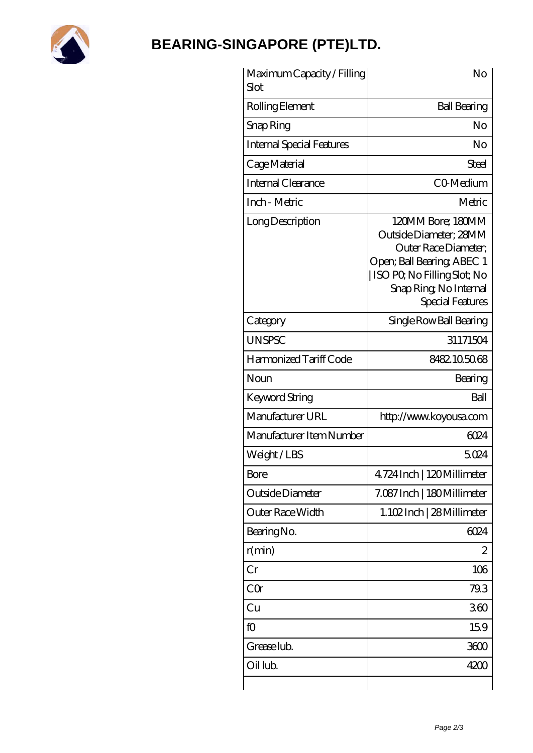

## **[BEARING-SINGAPORE \(PTE\)LTD.](https://m.ryiuy.com)**

| Maximum Capacity / Filling<br>Slot | No                                                                                                                                                                             |
|------------------------------------|--------------------------------------------------------------------------------------------------------------------------------------------------------------------------------|
| Rolling Element                    | <b>Ball Bearing</b>                                                                                                                                                            |
| Snap Ring                          | No                                                                                                                                                                             |
| <b>Internal Special Features</b>   | No                                                                                                                                                                             |
| Cage Material                      | Steel                                                                                                                                                                          |
| Internal Clearance                 | CO-Medium                                                                                                                                                                      |
| Inch - Metric                      | Metric                                                                                                                                                                         |
| Long Description                   | 120MM Bore; 180MM<br>Outside Diameter; 28MM<br>Outer Race Diameter;<br>Open; Ball Bearing; ABEC 1<br>ISO PO, No Filling Slot; No<br>Snap Ring, No Internal<br>Special Features |
| Category                           | Single Row Ball Bearing                                                                                                                                                        |
| <b>UNSPSC</b>                      | 31171504                                                                                                                                                                       |
| Harmonized Tariff Code             | 8482.105068                                                                                                                                                                    |
| Noun                               | Bearing                                                                                                                                                                        |
| Keyword String                     | Ball                                                                                                                                                                           |
| Manufacturer URL                   | http://www.koyousa.com                                                                                                                                                         |
| Manufacturer Item Number           | 6024                                                                                                                                                                           |
| Weight/LBS                         | 5024                                                                                                                                                                           |
| Bore                               | 4724 Inch   120 Millimeter                                                                                                                                                     |
| Outside Diameter                   | 7.087 Inch   180 Millimeter                                                                                                                                                    |
| Outer Race Width                   | 1.102Inch   28 Millimeter                                                                                                                                                      |
| Bearing No.                        | 6024                                                                                                                                                                           |
| r(min)                             | 2                                                                                                                                                                              |
| Cr                                 | 106                                                                                                                                                                            |
| CQr                                | 79.3                                                                                                                                                                           |
| Cu                                 | 360                                                                                                                                                                            |
| fO                                 | 159                                                                                                                                                                            |
| Grease lub.                        | 3600                                                                                                                                                                           |
| Oil lub.                           | 4200                                                                                                                                                                           |